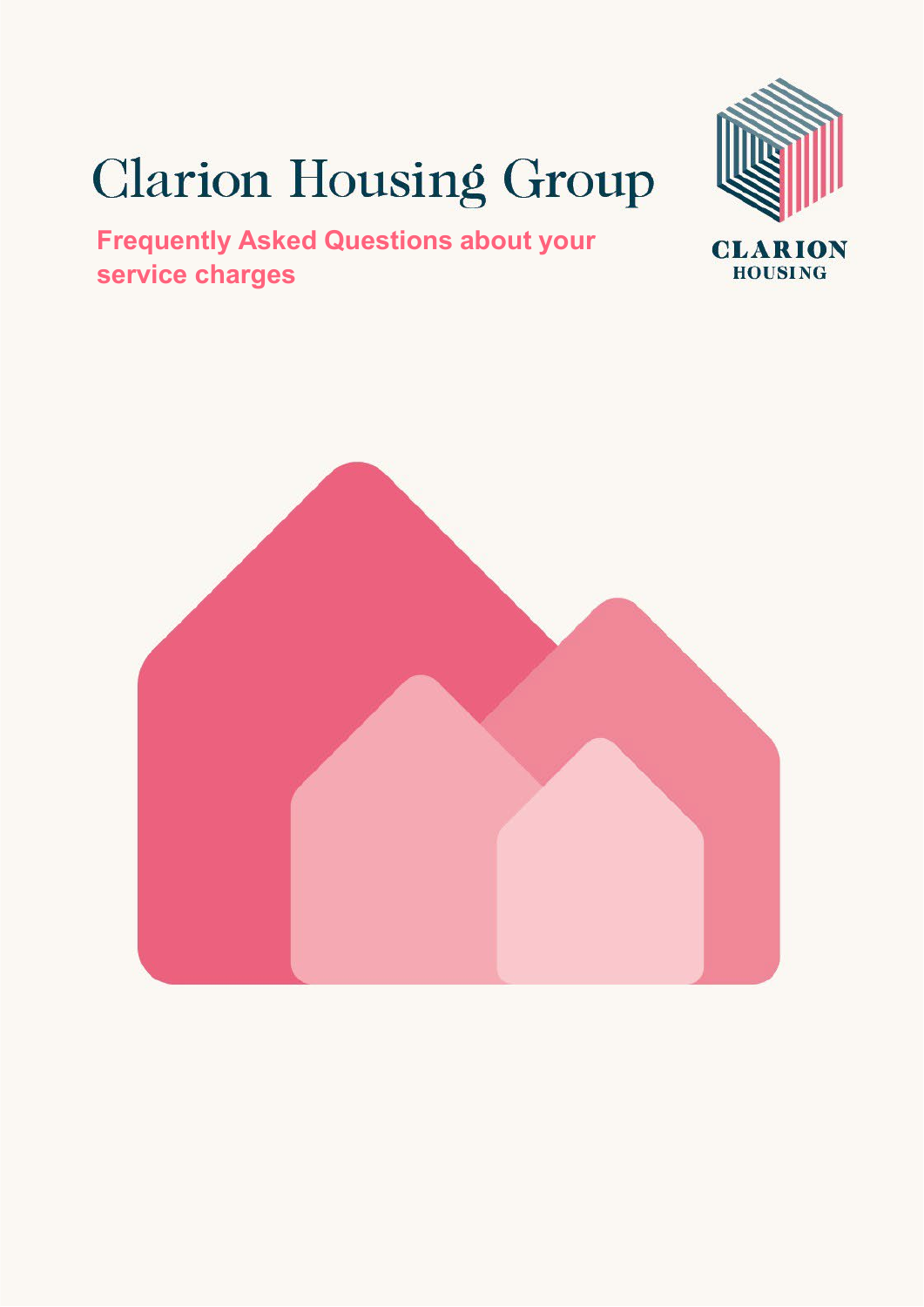# **Clarion Housing Group**



# **Frequently Asked Questions about your service charges**

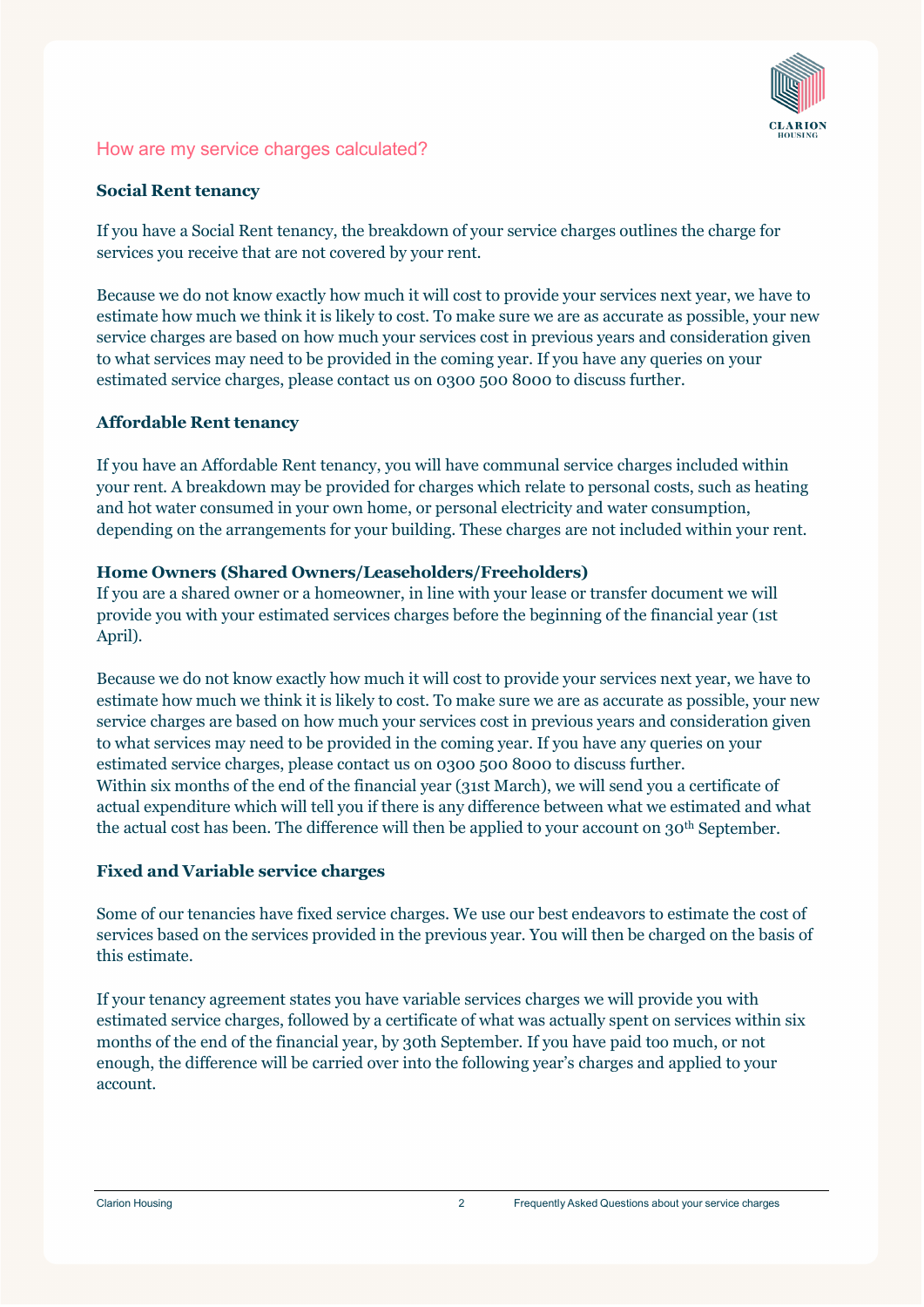

#### How are my service charges calculated?

#### **Social Rent tenancy**

If you have a Social Rent tenancy, the breakdown of your service charges outlines the charge for services you receive that are not covered by your rent.

Because we do not know exactly how much it will cost to provide your services next year, we have to estimate how much we think it is likely to cost. To make sure we are as accurate as possible, your new service charges are based on how much your services cost in previous years and consideration given to what services may need to be provided in the coming year. If you have any queries on your estimated service charges, please contact us on 0300 500 8000 to discuss further.

#### **Affordable Rent tenancy**

If you have an Affordable Rent tenancy, you will have communal service charges included within your rent. A breakdown may be provided for charges which relate to personal costs, such as heating and hot water consumed in your own home, or personal electricity and water consumption, depending on the arrangements for your building. These charges are not included within your rent.

#### **Home Owners (Shared Owners/Leaseholders/Freeholders)**

If you are a shared owner or a homeowner, in line with your lease or transfer document we will provide you with your estimated services charges before the beginning of the financial year (1st April).

Because we do not know exactly how much it will cost to provide your services next year, we have to estimate how much we think it is likely to cost. To make sure we are as accurate as possible, your new service charges are based on how much your services cost in previous years and consideration given to what services may need to be provided in the coming year. If you have any queries on your estimated service charges, please contact us on 0300 500 8000 to discuss further. Within six months of the end of the financial year (31st March), we will send you a certificate of actual expenditure which will tell you if there is any difference between what we estimated and what the actual cost has been. The difference will then be applied to your account on 30th September.

# **Fixed and Variable service charges**

Some of our tenancies have fixed service charges. We use our best endeavors to estimate the cost of services based on the services provided in the previous year. You will then be charged on the basis of this estimate.

If your tenancy agreement states you have variable services charges we will provide you with estimated service charges, followed by a certificate of what was actually spent on services within six months of the end of the financial year, by 30th September. If you have paid too much, or not enough, the difference will be carried over into the following year's charges and applied to your account.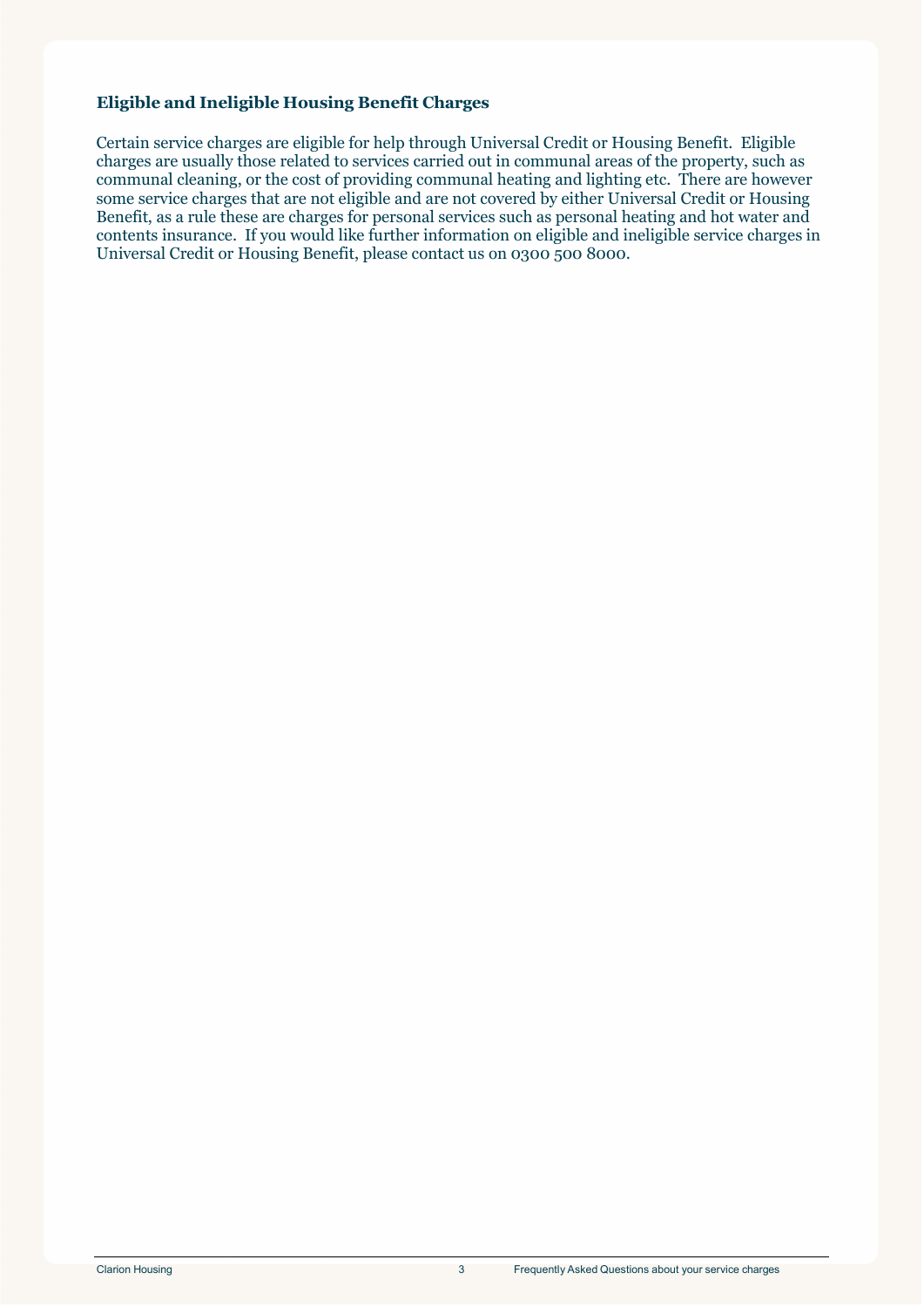# **Eligible and Ineligible Housing Benefit Charges**

Certain service charges are eligible for help through Universal Credit or Housing Benefit. Eligible charges are usually those related to services carried out in communal areas of the property, such as communal cleaning, or the cost of providing communal heating and lighting etc. There are however some service charges that are not eligible and are not covered by either Universal Credit or Housing Benefit, as a rule these are charges for personal services such as personal heating and hot water and contents insurance. If you would like further information on eligible and ineligible service charges in Universal Credit or Housing Benefit, please contact us on 0300 500 8000.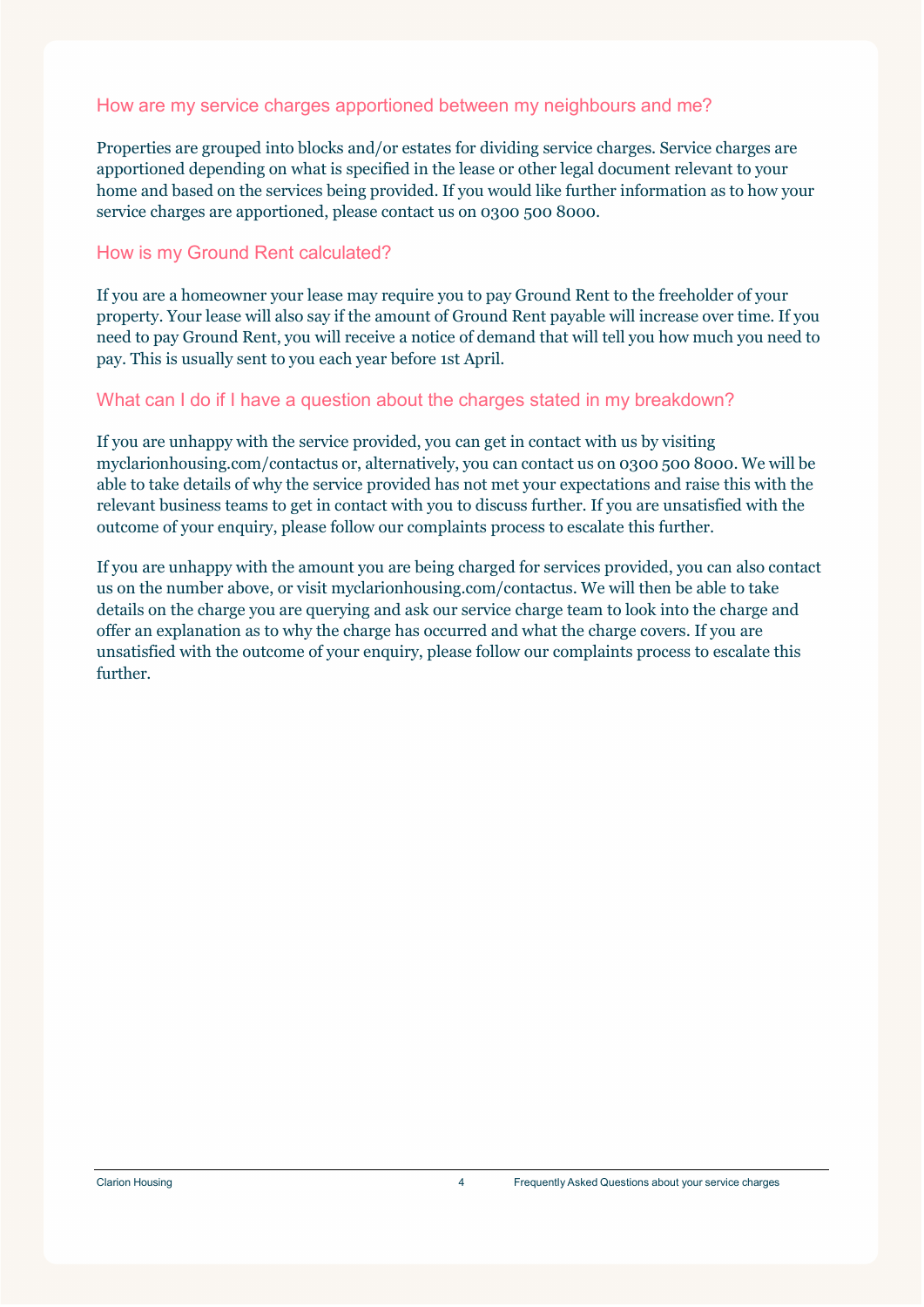# How are my service charges apportioned between my neighbours and me?

Properties are grouped into blocks and/or estates for dividing service charges. Service charges are apportioned depending on what is specified in the lease or other legal document relevant to your home and based on the services being provided. If you would like further information as to how your service charges are apportioned, please contact us on 0300 500 8000.

# How is my Ground Rent calculated?

If you are a homeowner your lease may require you to pay Ground Rent to the freeholder of your property. Your lease will also say if the amount of Ground Rent payable will increase over time. If you need to pay Ground Rent, you will receive a notice of demand that will tell you how much you need to pay. This is usually sent to you each year before 1st April.

# What can I do if I have a question about the charges stated in my breakdown?

If you are unhappy with the service provided, you can get in contact with us by visiting myclarionhousing.com/contactus or, alternatively, you can contact us on 0300 500 8000. We will be able to take details of why the service provided has not met your expectations and raise this with the relevant business teams to get in contact with you to discuss further. If you are unsatisfied with the outcome of your enquiry, please follow our complaints process to escalate this further.

If you are unhappy with the amount you are being charged for services provided, you can also contact us on the number above, or visit myclarionhousing.com/contactus. We will then be able to take details on the charge you are querying and ask our service charge team to look into the charge and offer an explanation as to why the charge has occurred and what the charge covers. If you are [unsatisfied with the outcome of yo](mailto:guideline@myclarionhousing.com)ur enquiry, please follow our complaints process to escalate this [further.](mailto:guideline@myclarionhousing.com)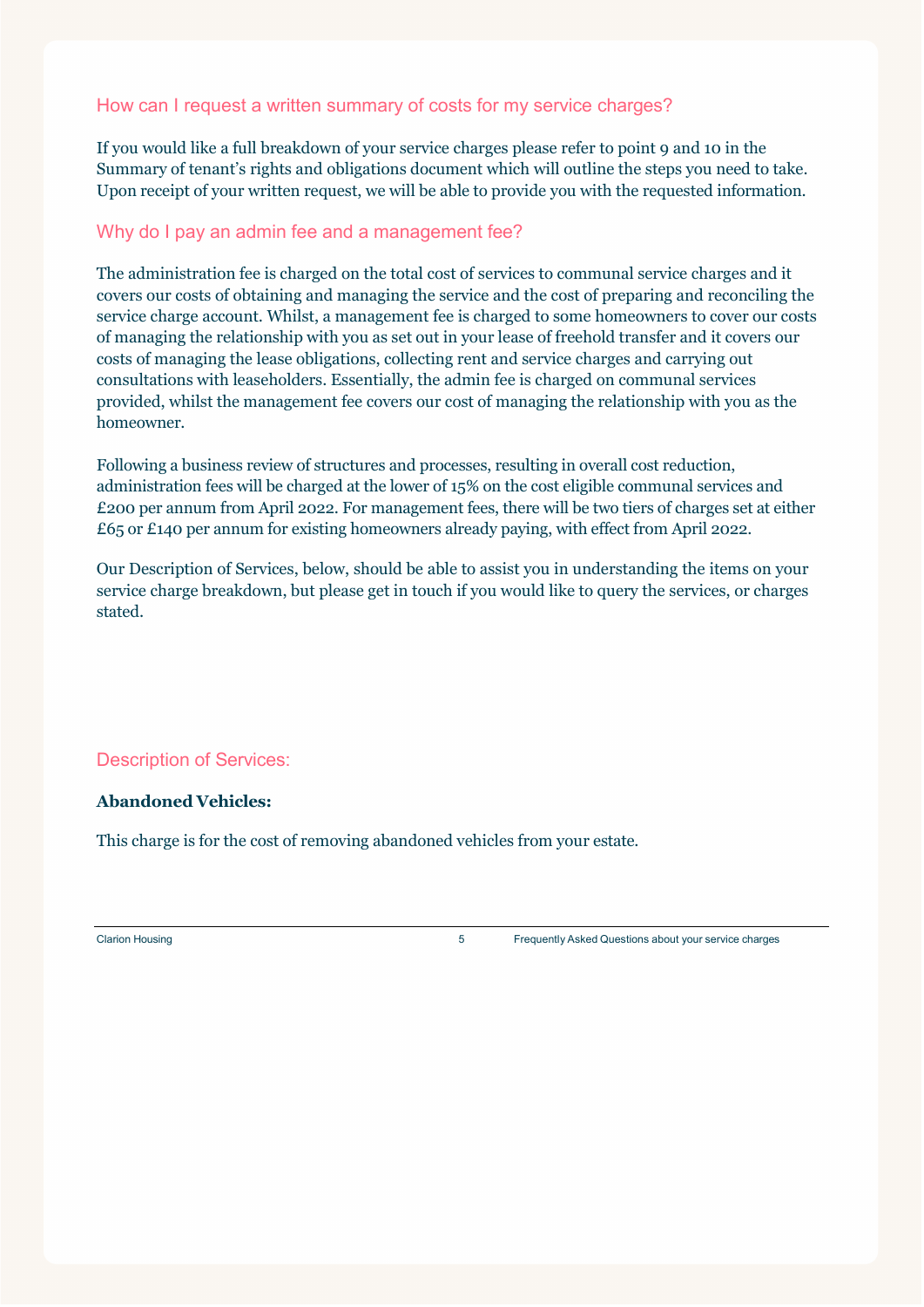# How can I request a written summary of costs for my service charges?

If you would like a full breakdown of your service charges please refer to point 9 and 10 in the Summary of tenant's rights and obligations document which will outline the steps you need to take. Upon receipt of your written request, we will be able to provide you with the requested information.

# Why do I pay an admin fee and a management fee?

The administration fee is charged on the total cost of services to communal service charges and it covers our costs of obtaining and managing the service and the cost of preparing and reconciling the service charge account. Whilst, a management fee is charged to some homeowners to cover our costs of managing the relationship with you as set out in your lease of freehold transfer and it covers our costs of managing the lease obligations, collecting rent and service charges and carrying out consultations with leaseholders. Essentially, the admin fee is charged on communal services provided, whilst the management fee covers our cost of managing the relationship with you as the homeowner.

Following a business review of structures and processes, resulting in overall cost reduction, administration fees will be charged at the lower of 15% on the cost eligible communal services and £200 per annum from April 2022. For management fees, there will be two tiers of charges set at either £65 or £140 per annum for existing homeowners already paying, with effect from April 2022.

Our Description of Services, below, should be able to assist you in understanding the items on your service charge breakdown, but please get in touch if you would like to query the services, or charges stated.

# Description of Services:

#### **Abandoned Vehicles:**

This charge is for the cost of removing abandoned vehicles from your estate.

#### Clarion Housing 5 Frequently Asked Questions about your service charges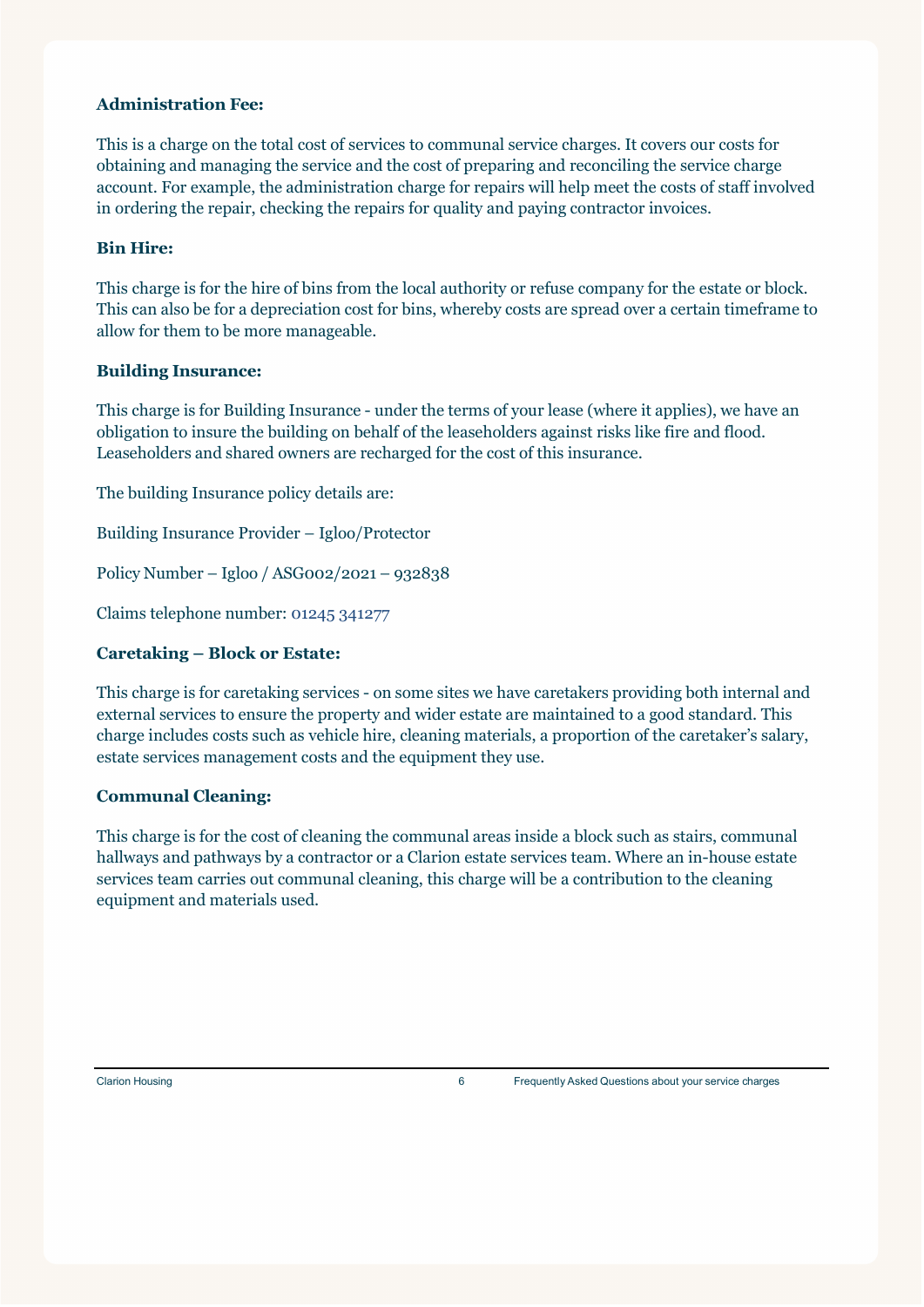#### **Administration Fee:**

This is a charge on the total cost of services to communal service charges. It covers our costs for obtaining and managing the service and the cost of preparing and reconciling the service charge account. For example, the administration charge for repairs will help meet the costs of staff involved in ordering the repair, checking the repairs for quality and paying contractor invoices.

#### **Bin Hire:**

This charge is for the hire of bins from the local authority or refuse company for the estate or block. This can also be for a depreciation cost for bins, whereby costs are spread over a certain timeframe to allow for them to be more manageable.

#### **Building Insurance:**

This charge is for Building Insurance - under the terms of your lease (where it applies), we have an obligation to insure the building on behalf of the leaseholders against risks like fire and flood. Leaseholders and shared owners are recharged for the cost of this insurance.

The building Insurance policy details are:

Building Insurance Provider – Igloo/Protector

Policy Number – Igloo / ASG002/2021 – 932838

Claims telephone number: 01245 341277

#### **Caretaking – Block or Estate:**

This charge is for caretaking services - on some sites we have caretakers providing both internal and external services to ensure the property and wider estate are maintained to a good standard. This charge includes costs such as vehicle hire, cleaning materials, a proportion of the caretaker's salary, estate services management costs and the equipment they use.

#### **Communal Cleaning:**

This charge is for the cost of cleaning the communal areas inside a block such as stairs, communal hallways and pathways by a contractor or a Clarion estate services team. Where an in-house estate services team carries out communal cleaning, this charge will be a contribution to the cleaning equipment and materials used.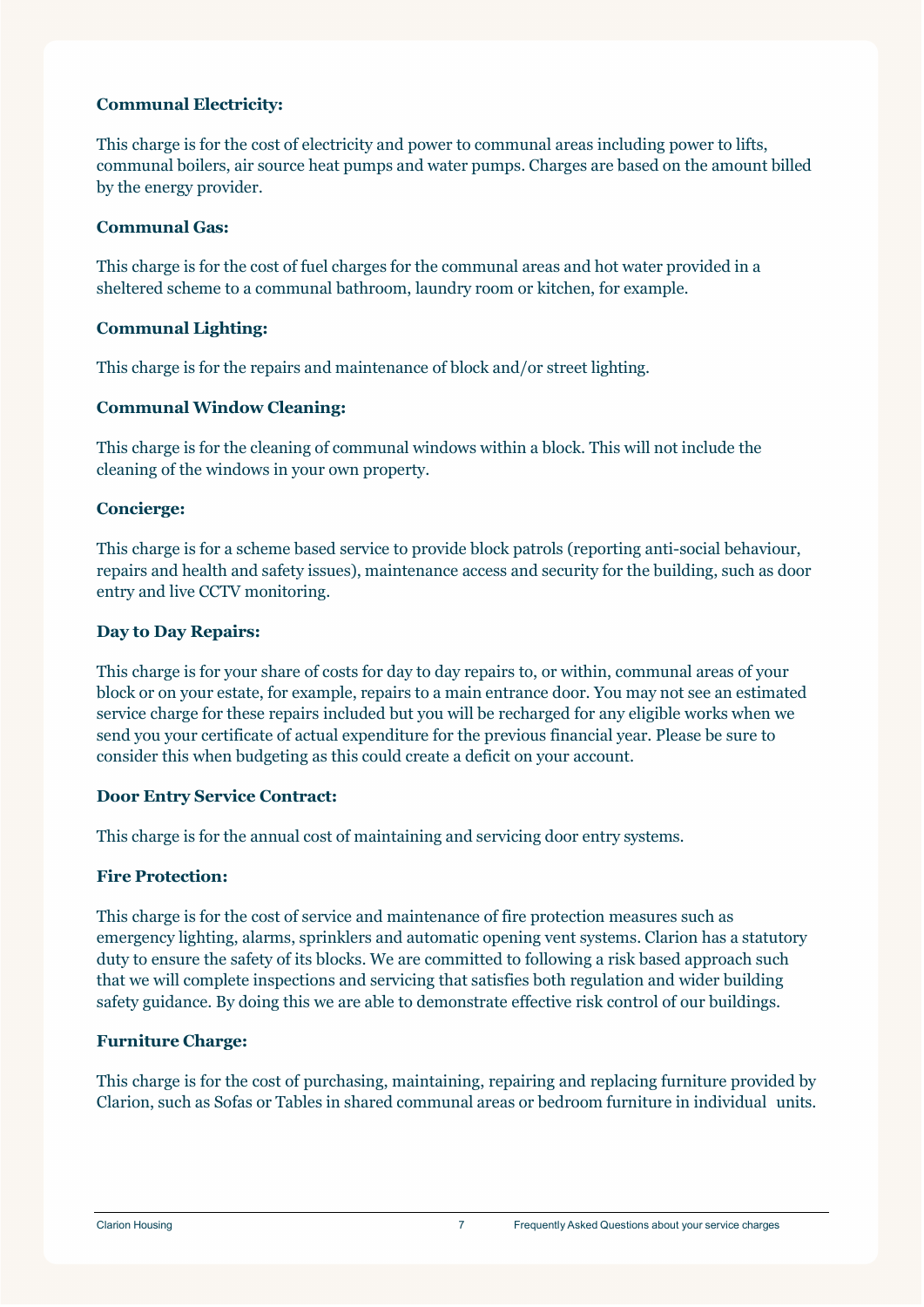# **Communal Electricity:**

This charge is for the cost of electricity and power to communal areas including power to lifts, communal boilers, air source heat pumps and water pumps. Charges are based on the amount billed by the energy provider.

# **Communal Gas:**

This charge is for the cost of fuel charges for the communal areas and hot water provided in a sheltered scheme to a communal bathroom, laundry room or kitchen, for example.

# **Communal Lighting:**

This charge is for the repairs and maintenance of block and/or street lighting.

# **Communal Window Cleaning:**

This charge is for the cleaning of communal windows within a block. This will not include the cleaning of the windows in your own property.

# **Concierge:**

This charge is for a scheme based service to provide block patrols (reporting anti-social behaviour, repairs and health and safety issues), maintenance access and security for the building, such as door entry and live CCTV monitoring.

# **Day to Day Repairs:**

This charge is for your share of costs for day to day repairs to, or within, communal areas of your block or on your estate, for example, repairs to a main entrance door. You may not see an estimated service charge for these repairs included but you will be recharged for any eligible works when we send you your certificate of actual expenditure for the previous financial year. Please be sure to consider this when budgeting as this could create a deficit on your account.

# **Door Entry Service Contract:**

This charge is for the annual cost of maintaining and servicing door entry systems.

# **Fire Protection:**

This charge is for the cost of service and maintenance of fire protection measures such as emergency lighting, alarms, sprinklers and automatic opening vent systems. Clarion has a statutory duty to ensure the safety of its blocks. We are committed to following a risk based approach such that we will complete inspections and servicing that satisfies both regulation and wider building safety guidance. By doing this we are able to demonstrate effective risk control of our buildings.

# **Furniture Charge:**

This charge is for the cost of purchasing, maintaining, repairing and replacing furniture provided by Clarion, such as Sofas or Tables in shared communal areas or bedroom furniture in individual units.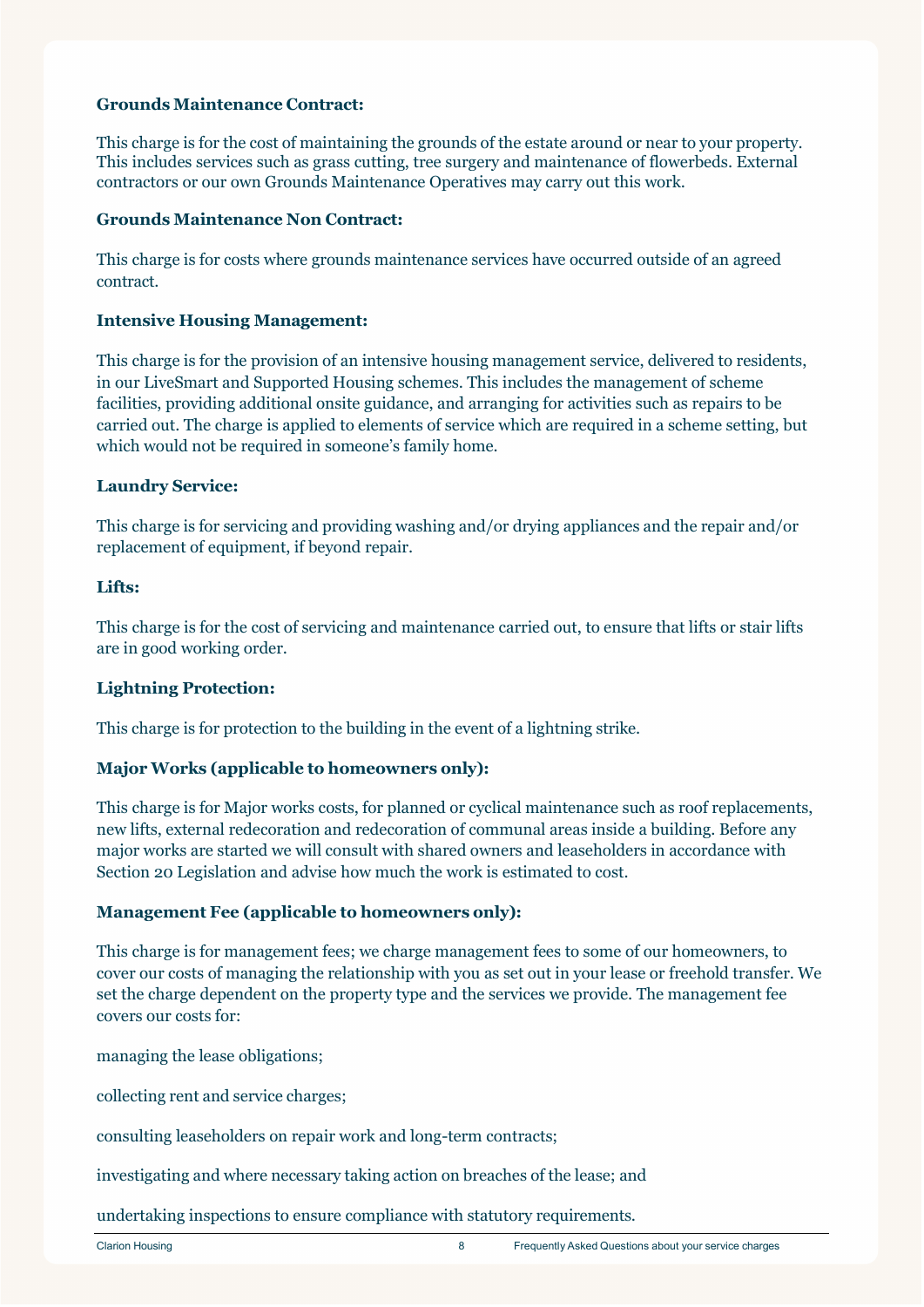#### **Grounds Maintenance Contract:**

This charge is for the cost of maintaining the grounds of the estate around or near to your property. This includes services such as grass cutting, tree surgery and maintenance of flowerbeds. External contractors or our own Grounds Maintenance Operatives may carry out this work.

#### **Grounds Maintenance Non Contract:**

This charge is for costs where grounds maintenance services have occurred outside of an agreed contract.

#### **Intensive Housing Management:**

This charge is for the provision of an intensive housing management service, delivered to residents, in our LiveSmart and Supported Housing schemes. This includes the management of scheme facilities, providing additional onsite guidance, and arranging for activities such as repairs to be carried out. The charge is applied to elements of service which are required in a scheme setting, but which would not be required in someone's family home.

#### **Laundry Service:**

This charge is for servicing and providing washing and/or drying appliances and the repair and/or replacement of equipment, if beyond repair.

#### **Lifts:**

This charge is for the cost of servicing and maintenance carried out, to ensure that lifts or stair lifts are in good working order.

# **Lightning Protection:**

This charge is for protection to the building in the event of a lightning strike.

# **Major Works (applicable to homeowners only):**

This charge is for Major works costs, for planned or cyclical maintenance such as roof replacements, new lifts, external redecoration and redecoration of communal areas inside a building. Before any major works are started we will consult with shared owners and leaseholders in accordance with Section 20 Legislation and advise how much the work is estimated to cost.

#### **Management Fee (applicable to homeowners only):**

This charge is for management fees; we charge management fees to some of our homeowners, to cover our costs of managing the relationship with you as set out in your lease or freehold transfer. We set the charge dependent on the property type and the services we provide. The management fee covers our costs for:

managing the lease obligations;

collecting rent and service charges;

consulting leaseholders on repair work and long-term contracts;

investigating and where necessary taking action on breaches of the lease; and

undertaking inspections to ensure compliance with statutory requirements.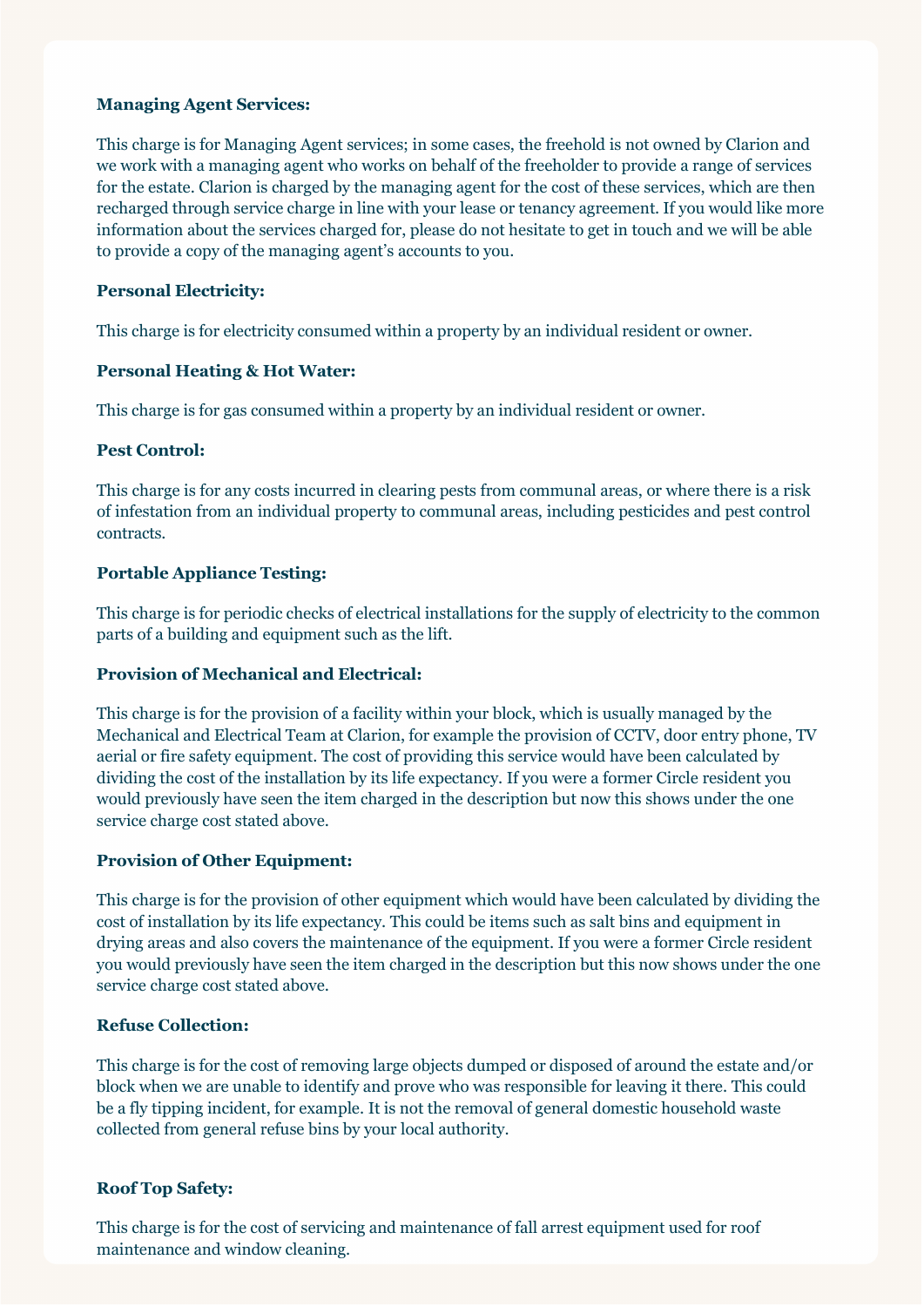#### **Managing Agent Services:**

This charge is for Managing Agent services; in some cases, the freehold is not owned by Clarion and we work with a managing agent who works on behalf of the freeholder to provide a range of services for the estate. Clarion is charged by the managing agent for the cost of these services, which are then recharged through service charge in line with your lease or tenancy agreement. If you would like more information about the services charged for, please do not hesitate to get in touch and we will be able to provide a copy of the managing agent's accounts to you.

#### **Personal Electricity:**

This charge is for electricity consumed within a property by an individual resident or owner.

#### **Personal Heating & Hot Water:**

This charge is for gas consumed within a property by an individual resident or owner.

#### **Pest Control:**

This charge is for any costs incurred in clearing pests from communal areas, or where there is a risk of infestation from an individual property to communal areas, including pesticides and pest control contracts.

# **Portable Appliance Testing:**

This charge is for periodic checks of electrical installations for the supply of electricity to the common parts of a building and equipment such as the lift.

#### **Provision of Mechanical and Electrical:**

This charge is for the provision of a facility within your block, which is usually managed by the Mechanical and Electrical Team at Clarion, for example the provision of CCTV, door entry phone, TV aerial or fire safety equipment. The cost of providing this service would have been calculated by dividing the cost of the installation by its life expectancy. If you were a former Circle resident you would previously have seen the item charged in the description but now this shows under the one service charge cost stated above.

#### **Provision of Other Equipment:**

This charge is for the provision of other equipment which would have been calculated by dividing the cost of installation by its life expectancy. This could be items such as salt bins and equipment in drying areas and also covers the maintenance of the equipment. If you were a former Circle resident you would previously have seen the item charged in the description but this now shows under the one service charge cost stated above.

#### **Refuse Collection:**

This charge is for the cost of removing large objects dumped or disposed of around the estate and/or block when we are unable to identify and prove who was responsible for leaving it there. This could be a fly tipping incident, for example. It is not the removal of general domestic household waste collected from general refuse bins by your local authority.

#### **Roof Top Safety:**

This charge is for the cost of servicing and maintenance of fall arrest equipment used for roof maintenance and window cleaning.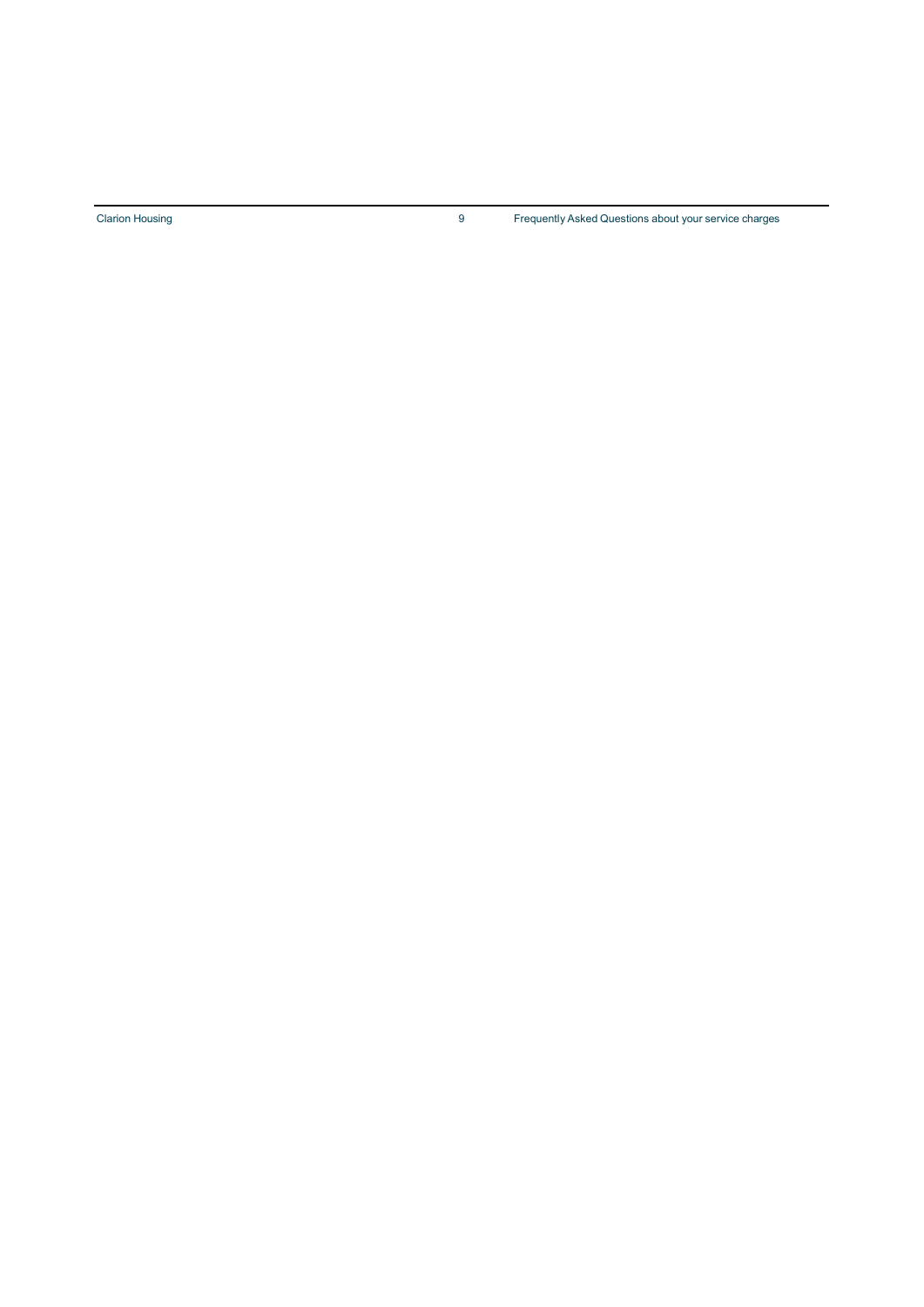Clarion Housing **Calcular Clarion Housing Prequently Asked Questions about your service charges**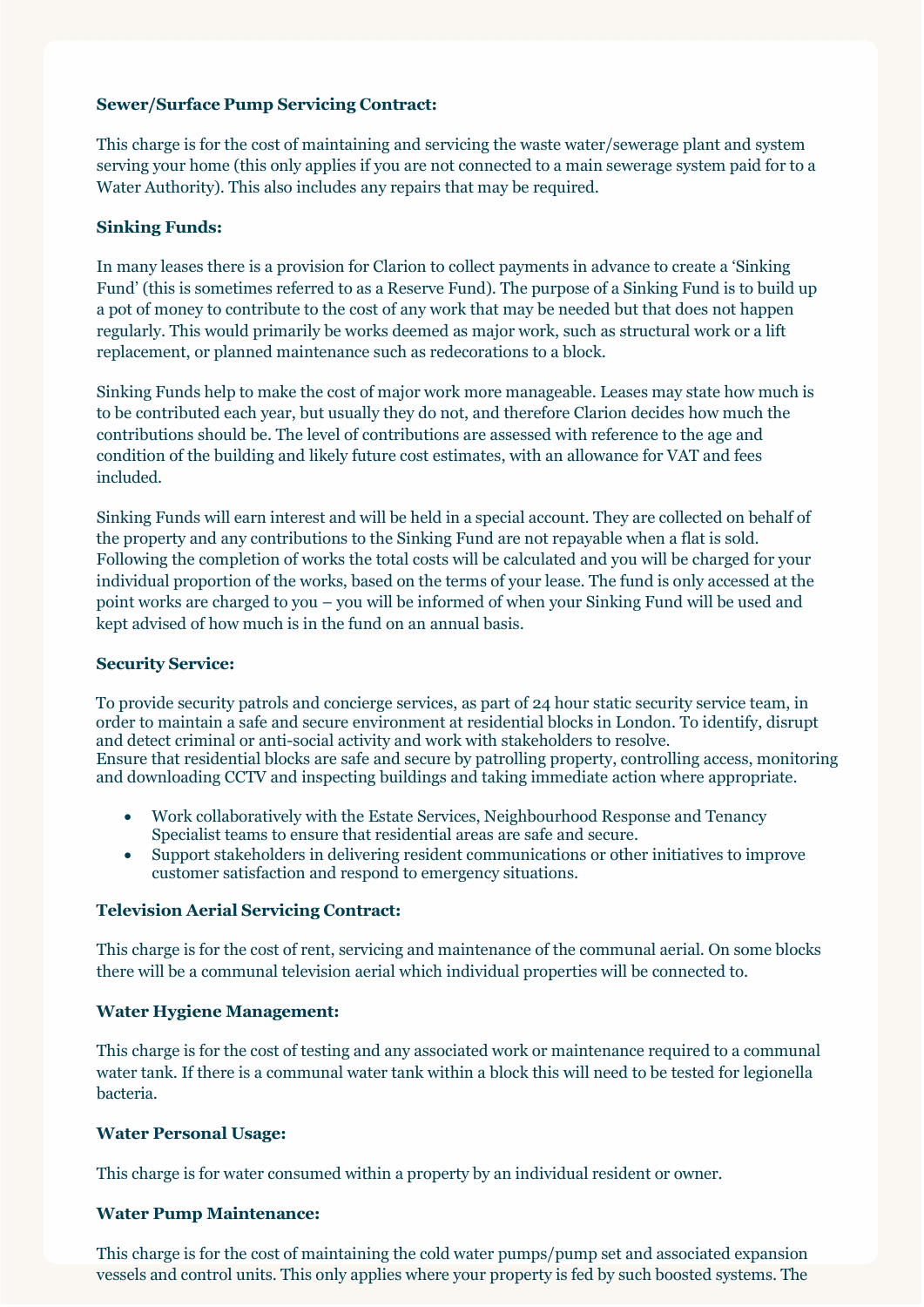#### **Sewer/Surface Pump Servicing Contract:**

This charge is for the cost of maintaining and servicing the waste water/sewerage plant and system serving your home (this only applies if you are not connected to a main sewerage system paid for to a Water Authority). This also includes any repairs that may be required.

#### **Sinking Funds:**

In many leases there is a provision for Clarion to collect payments in advance to create a 'Sinking Fund' (this is sometimes referred to as a Reserve Fund). The purpose of a Sinking Fund is to build up a pot of money to contribute to the cost of any work that may be needed but that does not happen regularly. This would primarily be works deemed as major work, such as structural work or a lift replacement, or planned maintenance such as redecorations to a block.

Sinking Funds help to make the cost of major work more manageable. Leases may state how much is to be contributed each year, but usually they do not, and therefore Clarion decides how much the contributions should be. The level of contributions are assessed with reference to the age and condition of the building and likely future cost estimates, with an allowance for VAT and fees included.

Sinking Funds will earn interest and will be held in a special account. They are collected on behalf of the property and any contributions to the Sinking Fund are not repayable when a flat is sold. Following the completion of works the total costs will be calculated and you will be charged for your individual proportion of the works, based on the terms of your lease. The fund is only accessed at the point works are charged to you – you will be informed of when your Sinking Fund will be used and kept advised of how much is in the fund on an annual basis.

#### **Security Service:**

To provide security patrols and concierge services, as part of 24 hour static security service team, in order to maintain a safe and secure environment at residential blocks in London. To identify, disrupt and detect criminal or anti-social activity and work with stakeholders to resolve. Ensure that residential blocks are safe and secure by patrolling property, controlling access, monitoring and downloading CCTV and inspecting buildings and taking immediate action where appropriate.

- Work collaboratively with the Estate Services, Neighbourhood Response and Tenancy Specialist teams to ensure that residential areas are safe and secure.
- Support stakeholders in delivering resident communications or other initiatives to improve customer satisfaction and respond to emergency situations.

#### **Television Aerial Servicing Contract:**

This charge is for the cost of rent, servicing and maintenance of the communal aerial. On some blocks there will be a communal television aerial which individual properties will be connected to.

# **Water Hygiene Management:**

This charge is for the cost of testing and any associated work or maintenance required to a communal water tank. If there is a communal water tank within a block this will need to be tested for legionella bacteria.

# **Water Personal Usage:**

This charge is for water consumed within a property by an individual resident or owner.

#### **Water Pump Maintenance:**

This charge is for the cost of maintaining the cold water pumps/pump set and associated expansion vessels and control units. This only applies where your property is fed by such boosted systems. The